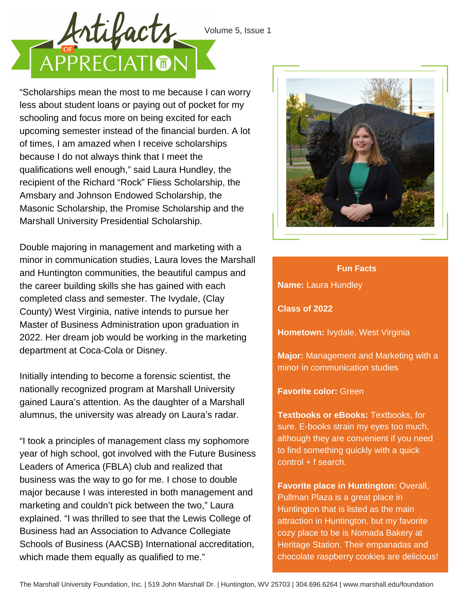

Volume 5, Issue 1

"Scholarships mean the most to me because I can worry less about student loans or paying out of pocket for my schooling and focus more on being excited for each upcoming semester instead of the financial burden. A lot of times, I am amazed when I receive scholarships because I do not always think that I meet the qualifications well enough," said Laura Hundley, the recipient of the Richard "Rock" Fliess Scholarship, the Amsbary and Johnson Endowed Scholarship, the Masonic Scholarship, the Promise Scholarship and the Marshall University Presidential Scholarship.

Double majoring in management and marketing with a minor in communication studies, Laura loves the Marshall and Huntington communities, the beautiful campus and the career building skills she has gained with each completed class and semester. The Ivydale, (Clay County) West Virginia, native intends to pursue her Master of Business Administration upon graduation in 2022. Her dream job would be working in the marketing department at Coca-Cola or Disney.

Initially intending to become a forensic scientist, the nationally recognized program at Marshall University gained Laura's attention. As the daughter of a Marshall alumnus, the university was already on Laura's radar.

"I took a principles of management class my sophomore year of high school, got involved with the Future Business Leaders of America (FBLA) club and realized that business was the way to go for me. I chose to double major because I was interested in both management and marketing and couldn't pick between the two," Laura explained. "I was thrilled to see that the Lewis College of Business had an Association to Advance Collegiate Schools of Business (AACSB) International accreditation, which made them equally as qualified to me."



## **Fun Facts**

**Name:** Laura Hundley

**Class of 2022**

**Hometown:** Ivydale, West Virginia

**Major:** Management and Marketing with a minor in communication studies

## **Favorite color:** Green

**Textbooks or eBooks:** Textbooks, for sure. E-books strain my eyes too much, although they are convenient if you need to find something quickly with a quick control + f search.

**Favorite place in Huntington:** Overall, Pullman Plaza is a great place in Huntington that is listed as the main attraction in Huntington, but my favorite cozy place to be is Nomada Bakery at Heritage Station. Their empanadas and chocolate raspberry cookies are delicious!